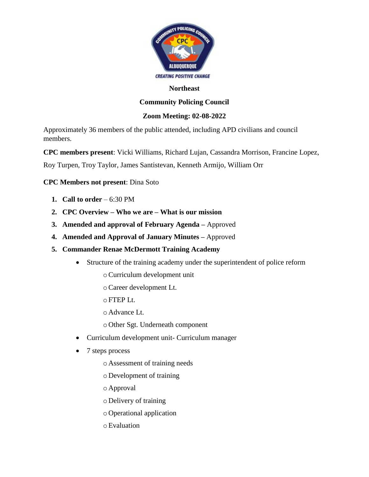

#### **Northeast**

# **Community Policing Council**

## **Zoom Meeting: 02-08-2022**

Approximately 36 members of the public attended, including APD civilians and council members.

**CPC members present**: Vicki Williams, Richard Lujan, Cassandra Morrison, Francine Lopez,

Roy Turpen, Troy Taylor, James Santistevan, Kenneth Armijo, William Orr

**CPC Members not present**: Dina Soto

- **1. Call to order**  $-6:30 \text{ PM}$
- **2. CPC Overview – Who we are – What is our mission**
- **3. Amended and approval of February Agenda –** Approved
- **4. Amended and Approval of January Minutes –** Approved
- **5. Commander Renae McDermott Training Academy** 
	- Structure of the training academy under the superintendent of police reform
		- oCurriculum development unit
		- oCareer development Lt.
		- $\circ$  FTEP Lt.
		- o Advance Lt.
		- o Other Sgt. Underneath component
	- Curriculum development unit- Curriculum manager
	- 7 steps process
		- o Assessment of training needs
		- o Development of training
		- o Approval
		- o Delivery of training
		- o Operational application
		- oEvaluation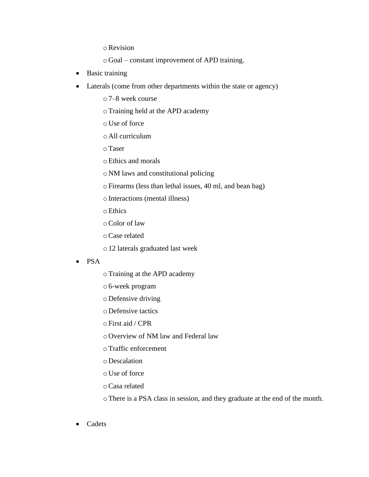oRevision

o Goal – constant improvement of APD training.

- Basic training
- Laterals (come from other departments within the state or agency)
	- o7–8 week course
	- oTraining held at the APD academy
	- o Use of force
	- o All curriculum
	- oTaser
	- oEthics and morals
	- o NM laws and constitutional policing
	- oFirearms (less than lethal issues, 40 ml, and bean bag)
	- oInteractions (mental illness)
	- oEthics
	- oColor of law
	- oCase related
	- o12 laterals graduated last week
- PSA
- oTraining at the APD academy
- o6-week program
- o Defensive driving
- o Defensive tactics
- oFirst aid / CPR
- o Overview of NM law and Federal law
- oTraffic enforcement
- o Descalation
- o Use of force
- oCasa related
- oThere is a PSA class in session, and they graduate at the end of the month.
- Cadets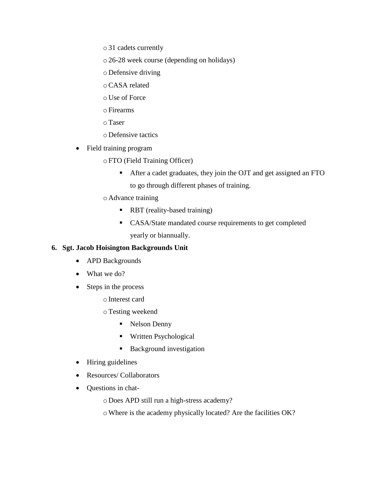o31 cadets currently

o26-28 week course (depending on holidays)

o Defensive driving

oCASA related

o Use of Force

oFirearms

oTaser

o Defensive tactics

• Field training program

oFTO (Field Training Officer)

■ After a cadet graduates, they join the OJT and get assigned an FTO to go through different phases of training.

o Advance training

- RBT (reality-based training)
- CASA/State mandated course requirements to get completed yearly or biannually.

### **6. Sgt. Jacob Hoisington Backgrounds Unit**

- APD Backgrounds
- What we do?
- Steps in the process

oInterest card

oTesting weekend

- Nelson Denny
- Written Psychological
- Background investigation
- Hiring guidelines
- Resources/ Collaborators
- Questions in chat-

o Does APD still run a high-stress academy?

oWhere is the academy physically located? Are the facilities OK?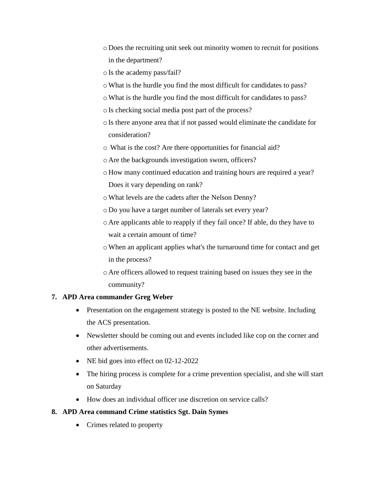- o Does the recruiting unit seek out minority women to recruit for positions in the department?
- oIs the academy pass/fail?
- oWhat is the hurdle you find the most difficult for candidates to pass?
- oWhat is the hurdle you find the most difficult for candidates to pass?
- oIs checking social media post part of the process?
- oIs there anyone area that if not passed would eliminate the candidate for consideration?
- o What is the cost? Are there opportunities for financial aid?
- o Are the backgrounds investigation sworn, officers?
- o How many continued education and training hours are required a year? Does it vary depending on rank?
- oWhat levels are the cadets after the Nelson Denny?
- o Do you have a target number of laterals set every year?
- o Are applicants able to reapply if they fail once? If able, do they have to wait a certain amount of time?
- oWhen an applicant applies what's the turnaround time for contact and get in the process?
- o Are officers allowed to request training based on issues they see in the community?

### **7. APD Area commander Greg Weber**

- Presentation on the engagement strategy is posted to the NE website. Including the ACS presentation.
- Newsletter should be coming out and events included like cop on the corner and other advertisements.
- NE bid goes into effect on 02-12-2022
- The hiring process is complete for a crime prevention specialist, and she will start on Saturday
- How does an individual officer use discretion on service calls?

### **8. APD Area command Crime statistics Sgt. Dain Symes**

• Crimes related to property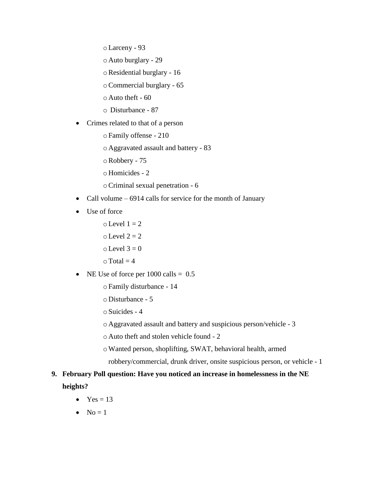oLarceny - 93

o Auto burglary - 29

oResidential burglary - 16

oCommercial burglary - 65

 $\circ$  Auto theft - 60

o Disturbance - 87

• Crimes related to that of a person

oFamily offense - 210

o Aggravated assault and battery - 83

oRobbery - 75

o Homicides - 2

oCriminal sexual penetration - 6

- Call volume 6914 calls for service for the month of January
- Use of force

 $\circ$  Level  $1 = 2$  $\circ$  Level 2 = 2  $\circ$  Level 3 = 0  $\circ$  Total = 4

#### • NE Use of force per  $1000 \text{ calls} = 0.5$

oFamily disturbance - 14

o Disturbance - 5

oSuicides - 4

o Aggravated assault and battery and suspicious person/vehicle - 3

o Auto theft and stolen vehicle found - 2

oWanted person, shoplifting, SWAT, behavioral health, armed robbery/commercial, drunk driver, onsite suspicious person, or vehicle - 1

# **9. February Poll question: Have you noticed an increase in homelessness in the NE heights?**

- $Yes = 13$
- $\bullet$  No = 1